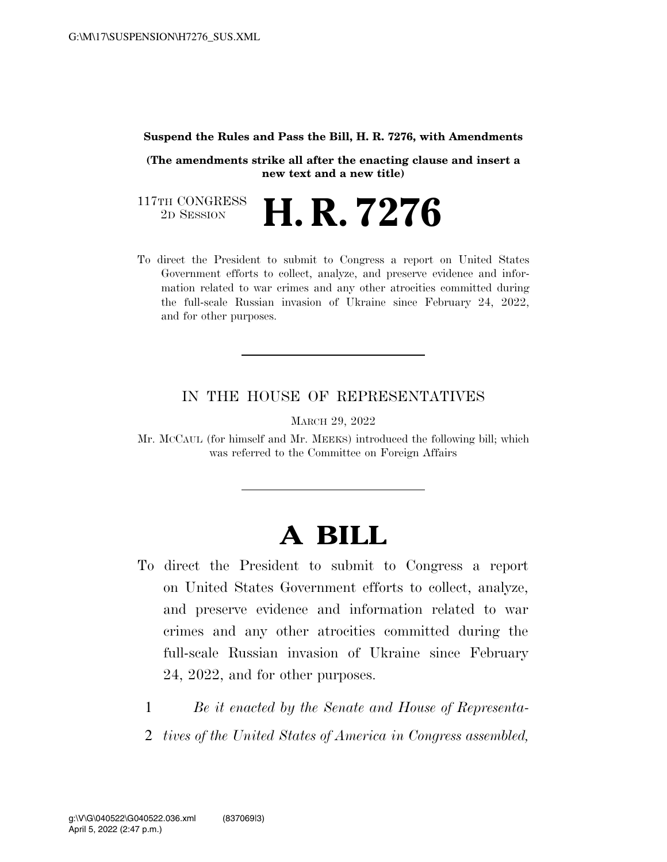#### **Suspend the Rules and Pass the Bill, H. R. 7276, with Amendments**

**(The amendments strike all after the enacting clause and insert a new text and a new title)** 

117TH CONGRESS<br>2D SESSION 2D SESSION **H. R. 7276** 

To direct the President to submit to Congress a report on United States Government efforts to collect, analyze, and preserve evidence and information related to war crimes and any other atrocities committed during the full-scale Russian invasion of Ukraine since February 24, 2022, and for other purposes.

## IN THE HOUSE OF REPRESENTATIVES

MARCH 29, 2022

Mr. MCCAUL (for himself and Mr. MEEKS) introduced the following bill; which was referred to the Committee on Foreign Affairs

# **A BILL**

- To direct the President to submit to Congress a report on United States Government efforts to collect, analyze, and preserve evidence and information related to war crimes and any other atrocities committed during the full-scale Russian invasion of Ukraine since February 24, 2022, and for other purposes.
	- 1 *Be it enacted by the Senate and House of Representa-*
	- 2 *tives of the United States of America in Congress assembled,*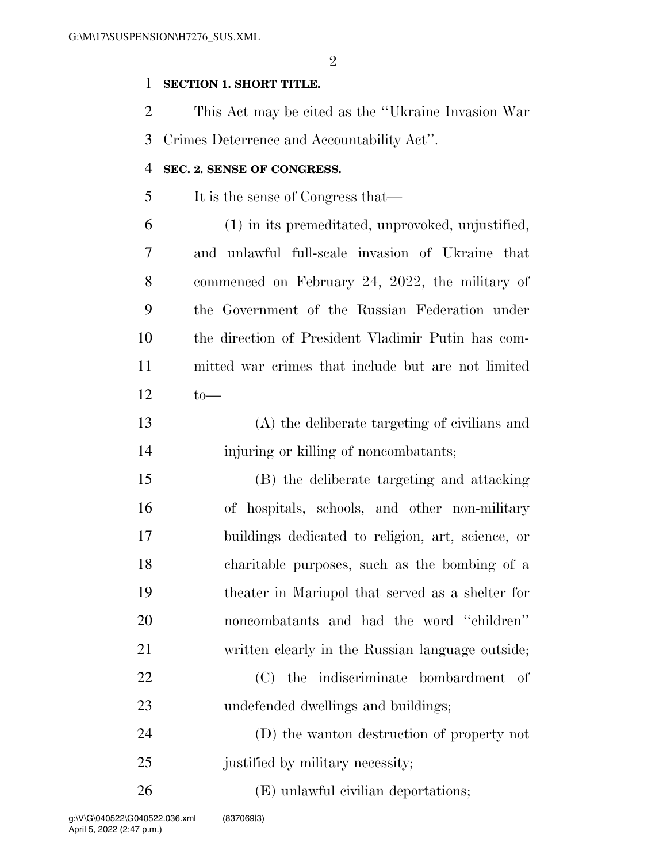$\mathfrak{D}$ 

### **SECTION 1. SHORT TITLE.**

 This Act may be cited as the ''Ukraine Invasion War Crimes Deterrence and Accountability Act''.

#### **SEC. 2. SENSE OF CONGRESS.**

It is the sense of Congress that—

- (1) in its premeditated, unprovoked, unjustified, and unlawful full-scale invasion of Ukraine that commenced on February 24, 2022, the military of the Government of the Russian Federation under the direction of President Vladimir Putin has com- mitted war crimes that include but are not limited to—
- (A) the deliberate targeting of civilians and injuring or killing of noncombatants;
- (B) the deliberate targeting and attacking of hospitals, schools, and other non-military buildings dedicated to religion, art, science, or charitable purposes, such as the bombing of a theater in Mariupol that served as a shelter for noncombatants and had the word ''children'' written clearly in the Russian language outside; (C) the indiscriminate bombardment of undefended dwellings and buildings; (D) the wanton destruction of property not 25 justified by military necessity;
- 26 (E) unlawful civilian deportations;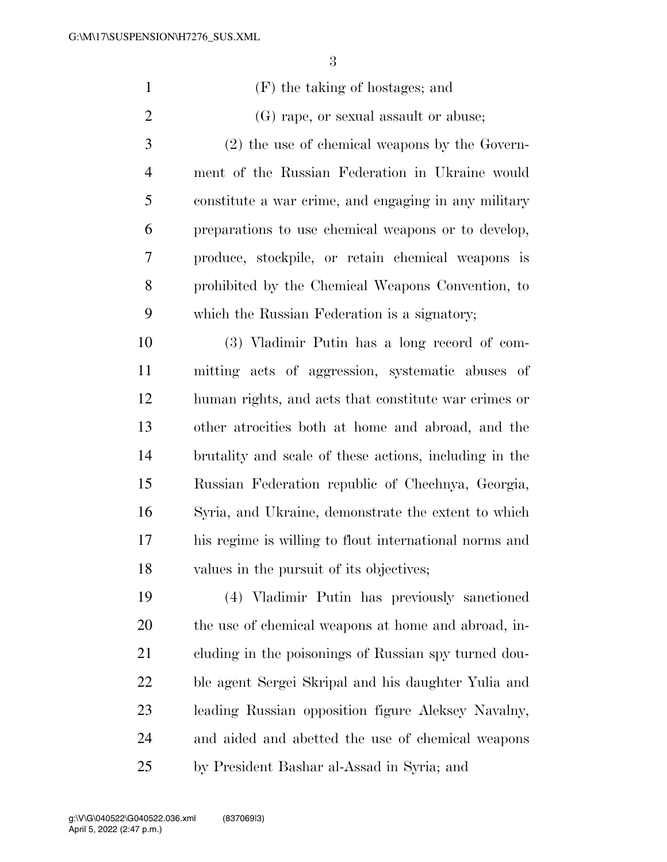| $\mathbf{1}$   | (F) the taking of hostages; and                        |
|----------------|--------------------------------------------------------|
| $\overline{2}$ | (G) rape, or sexual assault or abuse;                  |
| 3              | $(2)$ the use of chemical weapons by the Govern-       |
| $\overline{4}$ | ment of the Russian Federation in Ukraine would        |
| 5              | constitute a war crime, and engaging in any military   |
| 6              | preparations to use chemical weapons or to develop,    |
| $\overline{7}$ | produce, stockpile, or retain chemical weapons is      |
| 8              | prohibited by the Chemical Weapons Convention, to      |
| 9              | which the Russian Federation is a signatory;           |
| 10             | (3) Vladimir Putin has a long record of com-           |
| 11             | mitting acts of aggression, systematic abuses of       |
| 12             | human rights, and acts that constitute war crimes or   |
| 13             | other atrocities both at home and abroad, and the      |
| 14             | brutality and scale of these actions, including in the |
| 15             | Russian Federation republic of Chechnya, Georgia,      |
| 16             | Syria, and Ukraine, demonstrate the extent to which    |
| 17             | his regime is willing to flout international norms and |
| 18             | values in the pursuit of its objectives;               |
| 19             | (4) Vladimir Putin has previously sanctioned           |
| 20             | the use of chemical weapons at home and abroad, in-    |
| 21             | cluding in the poisonings of Russian spy turned dou-   |
| 22             | ble agent Sergei Skripal and his daughter Yulia and    |
|                |                                                        |

 leading Russian opposition figure Aleksey Navalny, and aided and abetted the use of chemical weapons by President Bashar al-Assad in Syria; and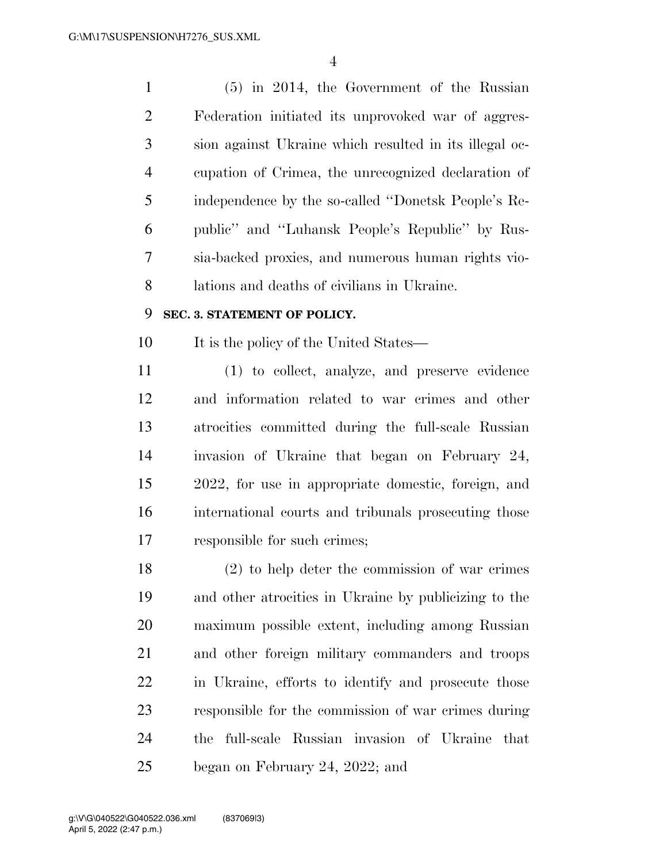(5) in 2014, the Government of the Russian Federation initiated its unprovoked war of aggres- sion against Ukraine which resulted in its illegal oc- cupation of Crimea, the unrecognized declaration of independence by the so-called ''Donetsk People's Re- public'' and ''Luhansk People's Republic'' by Rus- sia-backed proxies, and numerous human rights vio-lations and deaths of civilians in Ukraine.

### **SEC. 3. STATEMENT OF POLICY.**

10 It is the policy of the United States—

 (1) to collect, analyze, and preserve evidence and information related to war crimes and other atrocities committed during the full-scale Russian invasion of Ukraine that began on February 24, 2022, for use in appropriate domestic, foreign, and international courts and tribunals prosecuting those responsible for such crimes;

 (2) to help deter the commission of war crimes and other atrocities in Ukraine by publicizing to the maximum possible extent, including among Russian and other foreign military commanders and troops in Ukraine, efforts to identify and prosecute those responsible for the commission of war crimes during the full-scale Russian invasion of Ukraine that began on February 24, 2022; and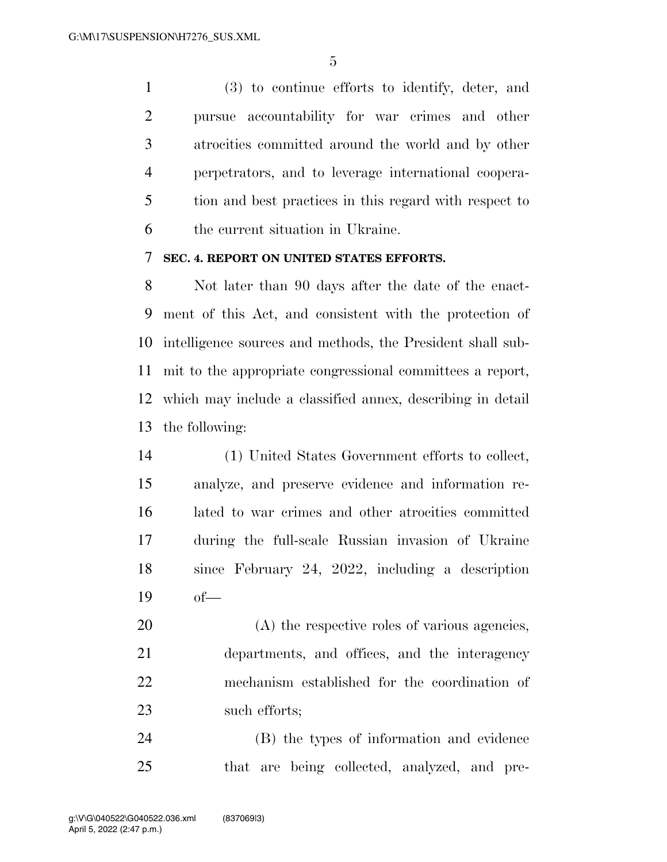(3) to continue efforts to identify, deter, and pursue accountability for war crimes and other atrocities committed around the world and by other perpetrators, and to leverage international coopera- tion and best practices in this regard with respect to the current situation in Ukraine.

### **SEC. 4. REPORT ON UNITED STATES EFFORTS.**

 Not later than 90 days after the date of the enact- ment of this Act, and consistent with the protection of intelligence sources and methods, the President shall sub- mit to the appropriate congressional committees a report, which may include a classified annex, describing in detail the following:

 (1) United States Government efforts to collect, analyze, and preserve evidence and information re- lated to war crimes and other atrocities committed during the full-scale Russian invasion of Ukraine since February 24, 2022, including a description of—

 (A) the respective roles of various agencies, departments, and offices, and the interagency mechanism established for the coordination of such efforts;

 (B) the types of information and evidence that are being collected, analyzed, and pre-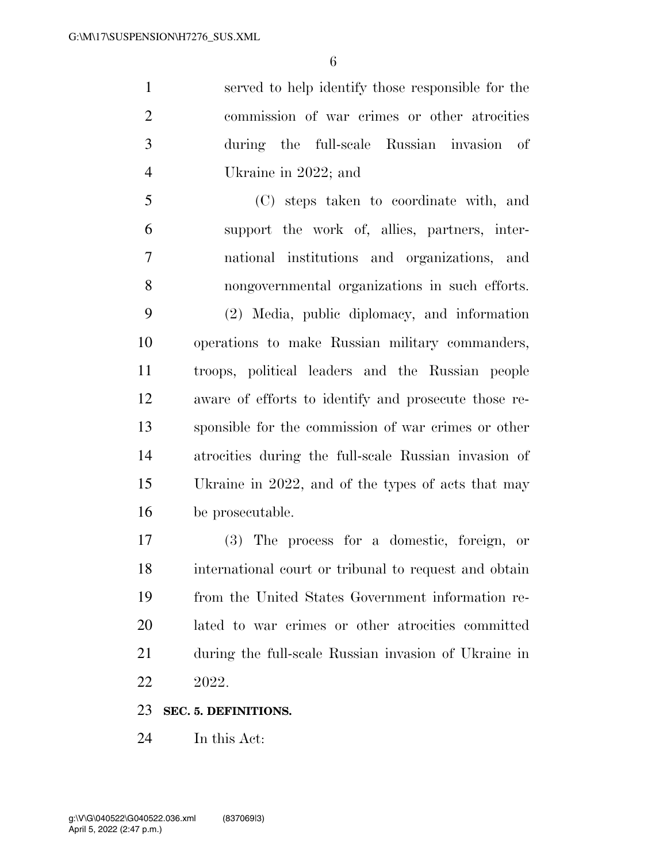served to help identify those responsible for the commission of war crimes or other atrocities during the full-scale Russian invasion of Ukraine in 2022; and

 (C) steps taken to coordinate with, and support the work of, allies, partners, inter- national institutions and organizations, and nongovernmental organizations in such efforts. (2) Media, public diplomacy, and information operations to make Russian military commanders, troops, political leaders and the Russian people aware of efforts to identify and prosecute those re- sponsible for the commission of war crimes or other atrocities during the full-scale Russian invasion of Ukraine in 2022, and of the types of acts that may be prosecutable.

 (3) The process for a domestic, foreign, or international court or tribunal to request and obtain from the United States Government information re- lated to war crimes or other atrocities committed during the full-scale Russian invasion of Ukraine in 2022.

#### **SEC. 5. DEFINITIONS.**

In this Act: